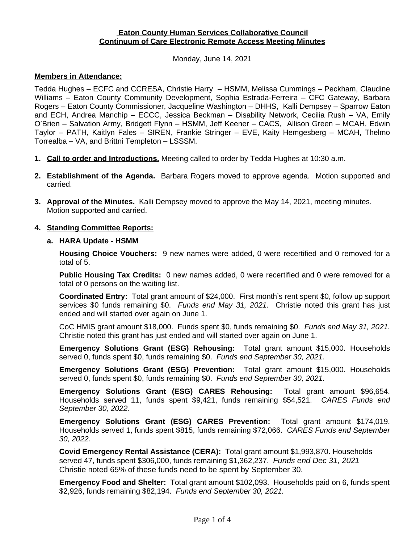### **Eaton County Human Services Collaborative Council Continuum of Care Electronic Remote Access Meeting Minutes**

Monday, June 14, 2021

#### **Members in Attendance:**

Tedda Hughes – ECFC and CCRESA, Christie Harry – HSMM, Melissa Cummings – Peckham, Claudine Williams – Eaton County Community Development, Sophia Estrada-Ferreira – CFC Gateway, Barbara Rogers – Eaton County Commissioner, Jacqueline Washington – DHHS, Kalli Dempsey – Sparrow Eaton and ECH, Andrea Manchip – ECCC, Jessica Beckman – Disability Network, Cecilia Rush – VA, Emily O'Brien – Salvation Army, Bridgett Flynn – HSMM, Jeff Keener – CACS, Allison Green – MCAH, Edwin Taylor – PATH, Kaitlyn Fales – SIREN, Frankie Stringer – EVE, Kaity Hemgesberg – MCAH, Thelmo Torrealba – VA, and Brittni Templeton – LSSSM.

- **1. Call to order and Introductions.** Meeting called to order by Tedda Hughes at 10:30 a.m.
- **2. Establishment of the Agenda.** Barbara Rogers moved to approve agenda. Motion supported and carried.
- **3. Approval of the Minutes.** Kalli Dempsey moved to approve the May 14, 2021, meeting minutes. Motion supported and carried.

### **4. Standing Committee Reports:**

**a. HARA Update - HSMM**

**Housing Choice Vouchers:** 9 new names were added, 0 were recertified and 0 removed for a total of 5.

**Public Housing Tax Credits:** 0 new names added, 0 were recertified and 0 were removed for a total of 0 persons on the waiting list.

**Coordinated Entry:** Total grant amount of \$24,000. First month's rent spent \$0, follow up support services \$0 funds remaining \$0. *Funds end May 31, 2021.* Christie noted this grant has just ended and will started over again on June 1.

CoC HMIS grant amount \$18,000. Funds spent \$0, funds remaining \$0. *Funds end May 31, 2021.* Christie noted this grant has just ended and will started over again on June 1.

**Emergency Solutions Grant (ESG) Rehousing:** Total grant amount \$15,000. Households served 0, funds spent \$0, funds remaining \$0. *Funds end September 30, 2021.*

**Emergency Solutions Grant (ESG) Prevention:** Total grant amount \$15,000. Households served 0, funds spent \$0, funds remaining \$0. *Funds end September 30, 2021*.

**Emergency Solutions Grant (ESG) CARES Rehousing:** Total grant amount \$96,654. Households served 11, funds spent \$9,421, funds remaining \$54,521. *CARES Funds end September 30, 2022.*

**Emergency Solutions Grant (ESG) CARES Prevention:** Total grant amount \$174,019. Households served 1, funds spent \$815, funds remaining \$72,066. *CARES Funds end September 30, 2022.*

**Covid Emergency Rental Assistance (CERA):** Total grant amount \$1,993,870. Households served 47, funds spent \$306,000, funds remaining \$1,362,237. *Funds end Dec 31, 2021*  Christie noted 65% of these funds need to be spent by September 30.

**Emergency Food and Shelter:** Total grant amount \$102,093. Households paid on 6, funds spent \$2,926, funds remaining \$82,194. *Funds end September 30, 2021.*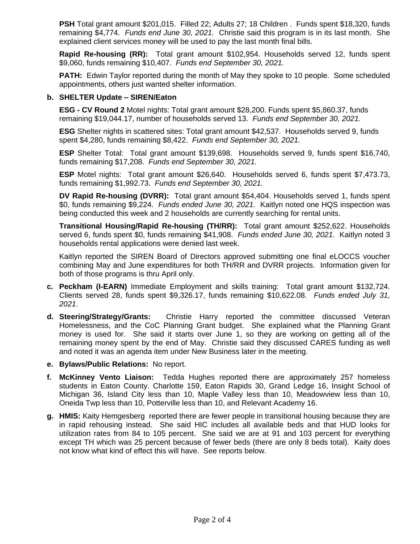**PSH** Total grant amount \$201,015. Filled 22; Adults 27; 18 Children . Funds spent \$18,320, funds remaining \$4,774. *Funds end June 30, 2021.* Christie said this program is in its last month. She explained client services money will be used to pay the last month final bills.

**Rapid Re-housing (RR):** Total grant amount \$102,954. Households served 12, funds spent \$9,060, funds remaining \$10,407. *Funds end September 30, 2021.*

**PATH:** Edwin Taylor reported during the month of May they spoke to 10 people. Some scheduled appointments, others just wanted shelter information.

#### **b. SHELTER Update – SIREN/Eaton**

**ESG - CV Round 2** Motel nights: Total grant amount \$28,200. Funds spent \$5,860.37, funds remaining \$19,044.17, number of households served 13. *Funds end September 30, 2021.*

**ESG** Shelter nights in scattered sites: Total grant amount \$42,537. Households served 9, funds spent \$4,280, funds remaining \$8,422. *Funds end September 30, 2021.*

**ESP** Shelter Total: Total grant amount \$139,698. Households served 9, funds spent \$16,740, funds remaining \$17,208. *Funds end September 30, 2021.*

**ESP** Motel nights: Total grant amount \$26,640. Households served 6, funds spent \$7,473.73, funds remaining \$1,992.73. *Funds end September 30, 2021.*

**DV Rapid Re-housing (DVRR):** Total grant amount \$54,404. Households served 1, funds spent \$0, funds remaining \$9,224. *Funds ended June 30, 2021.* Kaitlyn noted one HQS inspection was being conducted this week and 2 households are currently searching for rental units.

**Transitional Housing/Rapid Re-housing (TH/RR):** Total grant amount \$252,622. Households served 6, funds spent \$0, funds remaining \$41,908. *Funds ended June 30, 2021.* Kaitlyn noted 3 households rental applications were denied last week.

Kaitlyn reported the SIREN Board of Directors approved submitting one final eLOCCS voucher combining May and June expenditures for both TH/RR and DVRR projects. Information given for both of those programs is thru April only.

- **c. Peckham (I-EARN)** Immediate Employment and skills training: Total grant amount \$132,724. Clients served 28, funds spent \$9,326.17, funds remaining \$10,622.08. *Funds ended July 31, 2021*.
- **d. Steering/Strategy/Grants:** Christie Harry reported the committee discussed Veteran Homelessness, and the CoC Planning Grant budget. She explained what the Planning Grant money is used for. She said it starts over June 1, so they are working on getting all of the remaining money spent by the end of May. Christie said they discussed CARES funding as well and noted it was an agenda item under New Business later in the meeting.
- **e. Bylaws/Public Relations:** No report.
- **f. McKinney Vento Liaison:** Tedda Hughes reported there are approximately 257 homeless students in Eaton County. Charlotte 159, Eaton Rapids 30, Grand Ledge 16, Insight School of Michigan 36, Island City less than 10, Maple Valley less than 10, Meadowview less than 10, Oneida Twp less than 10, Potterville less than 10, and Relevant Academy 16.
- **g. HMIS:** Kaity Hemgesberg reported there are fewer people in transitional housing because they are in rapid rehousing instead. She said HIC includes all available beds and that HUD looks for utilization rates from 84 to 105 percent. She said we are at 91 and 103 percent for everything except TH which was 25 percent because of fewer beds (there are only 8 beds total). Kaity does not know what kind of effect this will have. See reports below.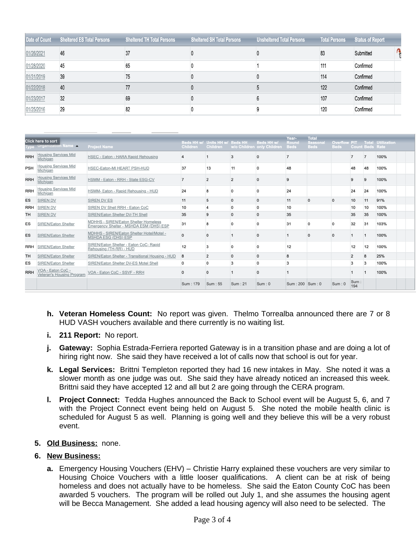|            | Date of Count Sheltered ES Total Persons | <b>Sheltered TH Total Persons</b><br><b>Sheltered SH Total Persons</b> |  | <b>Unsheltered Total Persons</b> |     | Total Persons Status of Report |  |
|------------|------------------------------------------|------------------------------------------------------------------------|--|----------------------------------|-----|--------------------------------|--|
| 01/26/2021 | 46                                       |                                                                        |  |                                  | 83  | Submitted                      |  |
| 01/28/2020 | 45                                       | 65                                                                     |  |                                  | 111 | Confirmed                      |  |
| 01/31/2019 | 39                                       | 75                                                                     |  |                                  | 114 | Confirmed                      |  |
| 01/22/2018 | 40                                       | 77                                                                     |  |                                  | 122 | Confirmed                      |  |
| 01/23/2017 | 32                                       | 69                                                                     |  |                                  | 107 | Confirmed                      |  |
| 01/25/2016 | 29                                       | 82                                                                     |  |                                  | 120 | Confirmed                      |  |

|            | Click here to sort<br><b>Organization Name A</b> | <b>Project Name</b>                                                             | <b>Children</b> | Beds HH w/ Units HH w/ Beds HH<br><b>Children</b> |              | <b>Beds HH w.</b><br>w/o Children only Children | Year-<br>Round<br><b>Beds</b> | <b>Total</b><br><b>Seasona</b><br><b>Beds</b> | <b>Overflow PIT</b><br><b>Beds</b> |                | <b>Count Beds Rate</b> | <b>Total Utilization</b> |
|------------|--------------------------------------------------|---------------------------------------------------------------------------------|-----------------|---------------------------------------------------|--------------|-------------------------------------------------|-------------------------------|-----------------------------------------------|------------------------------------|----------------|------------------------|--------------------------|
| <b>RRH</b> | <b>Housing Services Mid</b><br>Michigan          | HSEC - Eaton - HARA Rapid Rehousing                                             | 4               |                                                   | 3            | $\Omega$                                        | $\overline{7}$                |                                               |                                    |                |                        | 100%                     |
| <b>PSH</b> | <b>Housing Services Mid</b><br>Michigan          | HSEC-Eaton-MI HEART PSH-HUD                                                     | 37              | 13                                                | 11           |                                                 | 48                            |                                               |                                    | 48             | 48                     | 100%                     |
| <b>RRH</b> | <b>Housing Services Mid</b><br>Michigan          | HSMM - Eaton - RRH - State ESG-CV                                               |                 | $\overline{2}$                                    | 2            | $\Omega$                                        | 9                             |                                               |                                    | 9              | 9                      | 100%                     |
| <b>RRH</b> | <b>Housing Services Mid</b><br>Michigan          | HSMM- Eaton - Rapid Rehousing - HUD                                             | 24              | 8                                                 | $\Omega$     | $\Omega$                                        | 24                            |                                               |                                    | 24             | 24                     | 100%                     |
| ES         | <b>SIREN DV</b>                                  | <b>SIREN DV ES</b>                                                              | 11              | 5                                                 | $\mathbf{0}$ | $\mathbf{0}$                                    | 11                            | $\mathbf{0}$                                  | $\mathbf 0$                        | 10             | 11                     | 91%                      |
| <b>RRH</b> | <b>SIREN DV</b>                                  | SIREN DV Shell RRH - Eaton CoC                                                  | 10              | $\overline{4}$                                    | $\mathbf{0}$ | $\Omega$                                        | 10                            |                                               |                                    | 10             | 10                     | 100%                     |
| <b>TH</b>  | <b>SIREN DV</b>                                  | SIREN/Eaton Shelter DV-TH Shell                                                 | 35              | 9                                                 | $\Omega$     | $\mathbf{0}$                                    | 35                            |                                               |                                    | 35             | 35                     | 100%                     |
| ES         | <b>SIREN/Eaton Shelter</b>                       | MDHHS - SIREN/Eaton Shelter Homeless<br>Emergency Shelter - MSHDA ESM (DHS) ESP | 31              | $\mathbf{8}$                                      | $\Omega$     | $\Omega$                                        | 31                            |                                               | $\Omega$                           | 32             | 31                     | 103%                     |
| ES         | <b>SIREN/Eaton Shelter</b>                       | MDHHS - SIREN/Eaton Shelter Hotel/Motel -<br><b>MSHDA ESG (DHS) ESP</b>         | 0               | $\mathbf{0}$                                      |              | $\Omega$                                        |                               | $\Omega$                                      | $\Omega$                           |                |                        | 100%                     |
| <b>RRH</b> | <b>SIREN/Eaton Shelter</b>                       | SIREN/Eaton Shelter - Eaton CoC- Rapid<br>Rehousing (TH-RR) - HUD               | 12              | 3                                                 | $\Omega$     | $\Omega$                                        | 12                            |                                               |                                    | 12             | 12                     | 100%                     |
| <b>TH</b>  | <b>SIREN/Eaton Shelter</b>                       | SIREN/Eaton Shelter - Transitional Housing - HUD                                | 8               | $\overline{2}$                                    | $\mathbf{0}$ | $\mathbf{0}$                                    | 8                             |                                               |                                    | $\overline{2}$ | 8                      | 25%                      |
| ES         | <b>SIREN/Eaton Shelter</b>                       | SIREN/Eaton Shelter DV-ES Motel Shell                                           | 0               | $\mathbf 0$                                       | 3            | $\Omega$                                        | 3                             |                                               |                                    | 3              | 3                      | 100%                     |
| <b>RRH</b> | VOA - Eaton CoC -<br>Veteran's Housing Program   | VOA - Eaton CoC - SSVF - RRH                                                    | 0               | $\mathbf 0$                                       |              | $\Omega$                                        |                               |                                               |                                    |                |                        | 100%                     |
|            |                                                  |                                                                                 | Sum: 179        | Sum: 55                                           | Sum: 21      | Sum: 0                                          | $Sum: 200$ Sum: 0             |                                               | Sum: 0                             | Sum:<br>194    |                        |                          |

- **h. Veteran Homeless Count:** No report was given. Thelmo Torrealba announced there are 7 or 8 HUD VASH vouchers available and there currently is no waiting list.
- **i. 211 Report:** No report.
- **j. Gateway:** Sophia Estrada-Ferriera reported Gateway is in a transition phase and are doing a lot of hiring right now. She said they have received a lot of calls now that school is out for year.
- **k. Legal Services:** Brittni Templeton reported they had 16 new intakes in May. She noted it was a slower month as one judge was out. She said they have already noticed an increased this week. Brittni said they have accepted 12 and all but 2 are going through the CERA program.
- **l. Project Connect:** Tedda Hughes announced the Back to School event will be August 5, 6, and 7 with the Project Connect event being held on August 5. She noted the mobile health clinic is scheduled for August 5 as well. Planning is going well and they believe this will be a very robust event.

# **5. Old Business:** none.

# **6. New Business:**

**a.** Emergency Housing Vouchers (EHV) – Christie Harry explained these vouchers are very similar to Housing Choice Vouchers with a little looser qualifications. A client can be at risk of being homeless and does not actually have to be homeless. She said the Eaton County CoC has been awarded 5 vouchers. The program will be rolled out July 1, and she assumes the housing agent will be Becca Management. She added a lead housing agency will also need to be selected. The